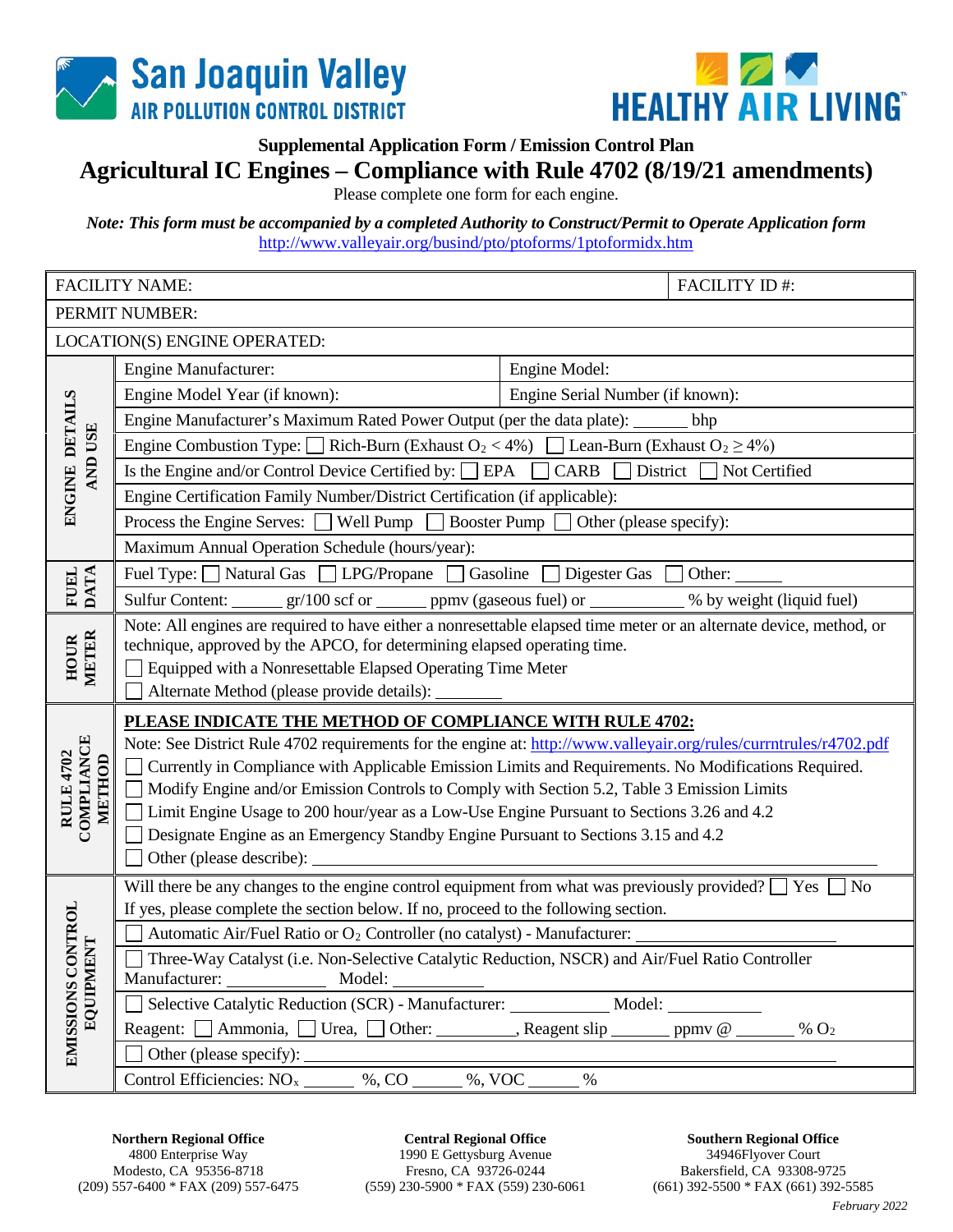



**Supplemental Application Form / Emission Control Plan**

## **Agricultural IC Engines – Compliance with Rule 4702 (8/19/21 amendments)**

Please complete one form for each engine.

*Note: This form must be accompanied by a completed Authority to Construct/Permit to Operate Application form* <http://www.valleyair.org/busind/pto/ptoforms/1ptoformidx.htm>

| <b>FACILITY NAME:</b>                           |                                                                                                                                                                                                                                                                                                                     |                                  | FACILITY ID#: |  |  |  |
|-------------------------------------------------|---------------------------------------------------------------------------------------------------------------------------------------------------------------------------------------------------------------------------------------------------------------------------------------------------------------------|----------------------------------|---------------|--|--|--|
| PERMIT NUMBER:                                  |                                                                                                                                                                                                                                                                                                                     |                                  |               |  |  |  |
| LOCATION(S) ENGINE OPERATED:                    |                                                                                                                                                                                                                                                                                                                     |                                  |               |  |  |  |
| ENGINE DETAILS<br><b>AND USE</b>                | <b>Engine Manufacturer:</b>                                                                                                                                                                                                                                                                                         | Engine Model:                    |               |  |  |  |
|                                                 | Engine Model Year (if known):                                                                                                                                                                                                                                                                                       | Engine Serial Number (if known): |               |  |  |  |
|                                                 | Engine Manufacturer's Maximum Rated Power Output (per the data plate): _______<br>bhp                                                                                                                                                                                                                               |                                  |               |  |  |  |
|                                                 | Engine Combustion Type: $\Box$ Rich-Burn (Exhaust O <sub>2</sub> < 4%) $\Box$ Lean-Burn (Exhaust O <sub>2</sub> ≥ 4%)                                                                                                                                                                                               |                                  |               |  |  |  |
|                                                 | Is the Engine and/or Control Device Certified by: □ EPA □ CARB □ District □ Not Certified                                                                                                                                                                                                                           |                                  |               |  |  |  |
|                                                 | Engine Certification Family Number/District Certification (if applicable):                                                                                                                                                                                                                                          |                                  |               |  |  |  |
|                                                 | Process the Engine Serves: $\Box$ Well Pump $\Box$ Booster Pump $\Box$ Other (please specify):                                                                                                                                                                                                                      |                                  |               |  |  |  |
|                                                 | Maximum Annual Operation Schedule (hours/year):                                                                                                                                                                                                                                                                     |                                  |               |  |  |  |
|                                                 | Fuel Type: Natural Gas □ LPG/Propane □ Gasoline □<br>Digester Gas $\Box$ Other:                                                                                                                                                                                                                                     |                                  |               |  |  |  |
| <b>FUEL</b><br><b>DATA</b>                      | Sulfur Content: _______ gr/100 scf or ______ ppmv (gaseous fuel) or __________ % by weight (liquid fuel)                                                                                                                                                                                                            |                                  |               |  |  |  |
| HOUR<br>METER                                   | Note: All engines are required to have either a nonresettable elapsed time meter or an alternate device, method, or<br>technique, approved by the APCO, for determining elapsed operating time.<br>Equipped with a Nonresettable Elapsed Operating Time Meter<br>Alternate Method (please provide details): _______ |                                  |               |  |  |  |
| <b>COMPLIANCE</b><br><b>RULE 4702</b><br>METHOD | PLEASE INDICATE THE METHOD OF COMPLIANCE WITH RULE 4702:                                                                                                                                                                                                                                                            |                                  |               |  |  |  |
|                                                 | Note: See District Rule 4702 requirements for the engine at: http://www.valleyair.org/rules/currntrules/r4702.pdf                                                                                                                                                                                                   |                                  |               |  |  |  |
|                                                 | Currently in Compliance with Applicable Emission Limits and Requirements. No Modifications Required.                                                                                                                                                                                                                |                                  |               |  |  |  |
|                                                 | Modify Engine and/or Emission Controls to Comply with Section 5.2, Table 3 Emission Limits                                                                                                                                                                                                                          |                                  |               |  |  |  |
|                                                 | Limit Engine Usage to 200 hour/year as a Low-Use Engine Pursuant to Sections 3.26 and 4.2                                                                                                                                                                                                                           |                                  |               |  |  |  |
|                                                 | Designate Engine as an Emergency Standby Engine Pursuant to Sections 3.15 and 4.2<br>Other (please describe):                                                                                                                                                                                                       |                                  |               |  |  |  |
|                                                 | Will there be any changes to the engine control equipment from what was previously provided? $\Box$ Yes [<br>N <sub>0</sub>                                                                                                                                                                                         |                                  |               |  |  |  |
|                                                 | If yes, please complete the section below. If no, proceed to the following section.                                                                                                                                                                                                                                 |                                  |               |  |  |  |
|                                                 | Automatic Air/Fuel Ratio or O <sub>2</sub> Controller (no catalyst) - Manufacturer:                                                                                                                                                                                                                                 |                                  |               |  |  |  |
|                                                 | Three-Way Catalyst (i.e. Non-Selective Catalytic Reduction, NSCR) and Air/Fuel Ratio Controller                                                                                                                                                                                                                     |                                  |               |  |  |  |
|                                                 |                                                                                                                                                                                                                                                                                                                     |                                  |               |  |  |  |
|                                                 | Selective Catalytic Reduction (SCR) - Manufacturer: ____________ Model: _________                                                                                                                                                                                                                                   |                                  |               |  |  |  |
| EMISSIONS CONTROL<br>EQUIPMENT                  | Reagent: $\Box$ Ammonia, $\Box$ Urea, $\Box$ Other: _________, Reagent slip _______ ppmv @ ______ % O <sub>2</sub>                                                                                                                                                                                                  |                                  |               |  |  |  |
|                                                 |                                                                                                                                                                                                                                                                                                                     |                                  |               |  |  |  |
|                                                 | Control Efficiencies: $NO_x$ %, $CO$ %, $VOC$ %, $VOC$ %                                                                                                                                                                                                                                                            |                                  |               |  |  |  |